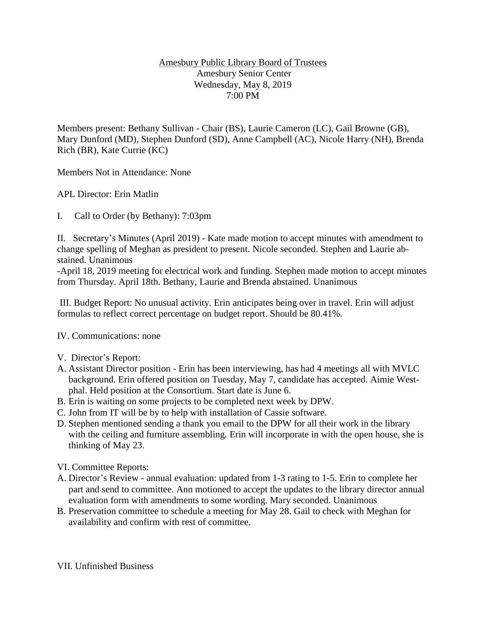## Amesbury Public Library Board of Trustees Amesbury Senior Center Wednesday, May 8, 2019 7:00 PM

Members present: Bethany Sullivan - Chair (BS), Laurie Cameron (LC), Gail Browne (GB), Mary Dunford (MD), Stephen Dunford (SD), Anne Campbell (AC), Nicole Harry (NH), Brenda Rich (BR), Kate Currie (KC)

Members Not in Attendance: None

APL Director: Erin Matlin

I. Call to Order (by Bethany): 7:03pm

II. Secretary's Minutes (April 2019) - Kate made motion to accept minutes with amendment to change spelling of Meghan as president to present. Nicole seconded. Stephen and Laurie abstained. Unanimous

-April 18, 2019 meeting for electrical work and funding. Stephen made motion to accept minutes from Thursday. April 18th. Bethany, Laurie and Brenda abstained. Unanimous

III. Budget Report: No unusual activity. Erin anticipates being over in travel. Erin will adjust formulas to reflect correct percentage on budget report. Should be 80.41%.

IV. Communications: none

- V. Director's Report:
- A. Assistant Director position Erin has been interviewing, has had 4 meetings all with MVLC background. Erin offered position on Tuesday, May 7, candidate has accepted. Aimie Westphal. Held position at the Consortium. Start date is June 6.
- B. Erin is waiting on some projects to be completed next week by DPW.
- C. John from IT will be by to help with installation of Cassie software.
- D. Stephen mentioned sending a thank you email to the DPW for all their work in the library with the ceiling and furniture assembling. Erin will incorporate in with the open house, she is thinking of May 23.
- VI. Committee Reports:
- A. Director's Review annual evaluation: updated from 1-3 rating to 1-5. Erin to complete her part and send to committee. Ann motioned to accept the updates to the library director annual evaluation form with amendments to some wording. Mary seconded. Unanimous
- B. Preservation committee to schedule a meeting for May 28. Gail to check with Meghan for availability and confirm with rest of committee.

VII. Unfinished Business